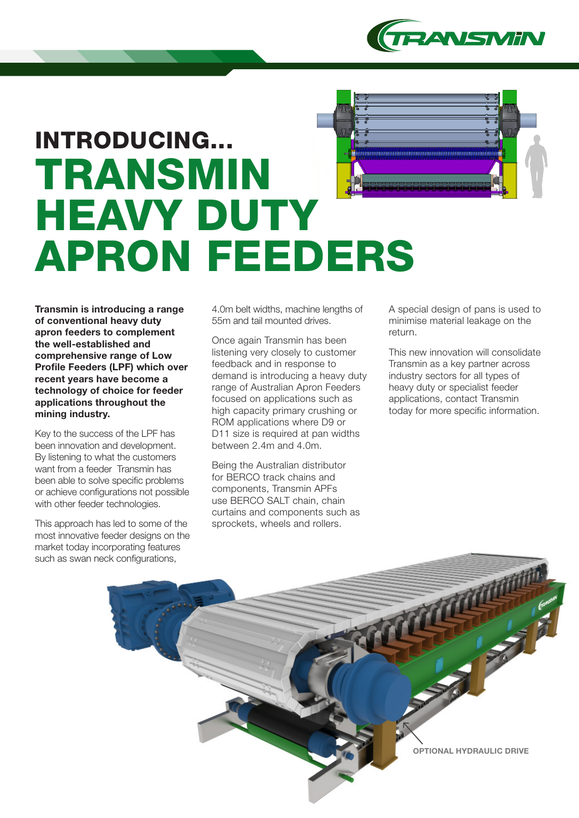

# INTRODUCING... TRANSMIN **HEAVY DUTY** APRON FEEDERS

Transmin is introducing a range of conventional heavy duty apron feeders to complement the well-established and comprehensive range of Low Profile Feeders (LPF) which over recent years have become a technology of choice for feeder applications throughout the mining industry.

Key to the success of the LPF has been innovation and development. By listening to what the customers want from a feeder Transmin has been able to solve specific problems or achieve configurations not possible with other feeder technologies.

This approach has led to some of the most innovative feeder designs on the market today incorporating features such as swan neck configurations,

4.0m belt widths, machine lengths of 55m and tail mounted drives.

Once again Transmin has been listening very closely to customer feedback and in response to demand is introducing a heavy duty range of Australian Apron Feeders focused on applications such as high capacity primary crushing or ROM applications where D9 or D11 size is required at pan widths between 2.4m and 4.0m.

Being the Australian distributor for BERCO track chains and components, Transmin APFs use BERCO SALT chain, chain curtains and components such as sprockets, wheels and rollers.

A special design of pans is used to minimise material leakage on the return.

This new innovation will consolidate Transmin as a key partner across industry sectors for all types of heavy duty or specialist feeder applications, contact Transmin today for more specific information.